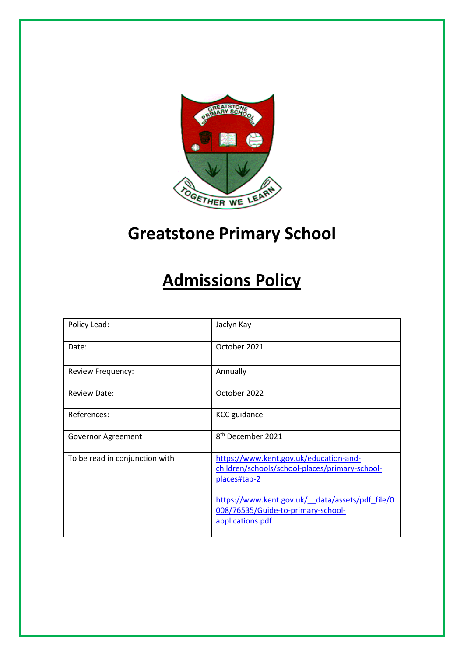

# **Greatstone Primary School**

# **Admissions Policy**

| Policy Lead:                   | Jaclyn Kay                                                                                                |
|--------------------------------|-----------------------------------------------------------------------------------------------------------|
| Date:                          | October 2021                                                                                              |
| Review Frequency:              | Annually                                                                                                  |
| <b>Review Date:</b>            | October 2022                                                                                              |
| References:                    | <b>KCC</b> guidance                                                                                       |
| Governor Agreement             | 8 <sup>th</sup> December 2021                                                                             |
| To be read in conjunction with | https://www.kent.gov.uk/education-and-<br>children/schools/school-places/primary-school-<br>places#tab-2  |
|                                | https://www.kent.gov.uk/ data/assets/pdf file/0<br>008/76535/Guide-to-primary-school-<br>applications.pdf |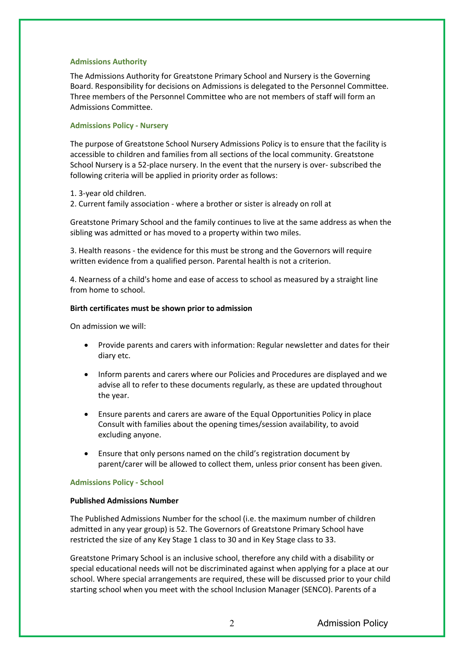### **Admissions Authority**

The Admissions Authority for Greatstone Primary School and Nursery is the Governing Board. Responsibility for decisions on Admissions is delegated to the Personnel Committee. Three members of the Personnel Committee who are not members of staff will form an Admissions Committee.

### **Admissions Policy - Nursery**

The purpose of Greatstone School Nursery Admissions Policy is to ensure that the facility is accessible to children and families from all sections of the local community. Greatstone School Nursery is a 52-place nursery. In the event that the nursery is over- subscribed the following criteria will be applied in priority order as follows:

1. 3-year old children.

2. Current family association - where a brother or sister is already on roll at

Greatstone Primary School and the family continues to live at the same address as when the sibling was admitted or has moved to a property within two miles.

3. Health reasons - the evidence for this must be strong and the Governors will require written evidence from a qualified person. Parental health is not a criterion.

4. Nearness of a child's home and ease of access to school as measured by a straight line from home to school.

#### **Birth certificates must be shown prior to admission**

On admission we will:

- Provide parents and carers with information: Regular newsletter and dates for their diary etc.
- Inform parents and carers where our Policies and Procedures are displayed and we advise all to refer to these documents regularly, as these are updated throughout the year.
- Ensure parents and carers are aware of the Equal Opportunities Policy in place Consult with families about the opening times/session availability, to avoid excluding anyone.
- Ensure that only persons named on the child's registration document by parent/carer will be allowed to collect them, unless prior consent has been given.

#### **Admissions Policy - School**

#### **Published Admissions Number**

The Published Admissions Number for the school (i.e. the maximum number of children admitted in any year group) is 52. The Governors of Greatstone Primary School have restricted the size of any Key Stage 1 class to 30 and in Key Stage class to 33.

Greatstone Primary School is an inclusive school, therefore any child with a disability or special educational needs will not be discriminated against when applying for a place at our school. Where special arrangements are required, these will be discussed prior to your child starting school when you meet with the school Inclusion Manager (SENCO). Parents of a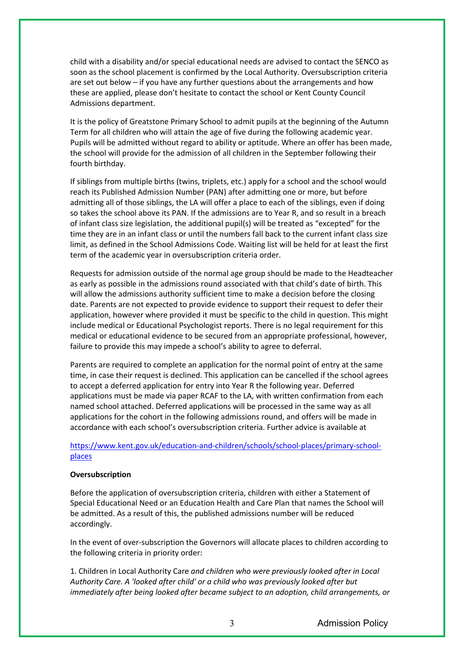child with a disability and/or special educational needs are advised to contact the SENCO as soon as the school placement is confirmed by the Local Authority. Oversubscription criteria are set out below – if you have any further questions about the arrangements and how these are applied, please don't hesitate to contact the school or Kent County Council Admissions department.

It is the policy of Greatstone Primary School to admit pupils at the beginning of the Autumn Term for all children who will attain the age of five during the following academic year. Pupils will be admitted without regard to ability or aptitude. Where an offer has been made, the school will provide for the admission of all children in the September following their fourth birthday.

If siblings from multiple births (twins, triplets, etc.) apply for a school and the school would reach its Published Admission Number (PAN) after admitting one or more, but before admitting all of those siblings, the LA will offer a place to each of the siblings, even if doing so takes the school above its PAN. If the admissions are to Year R, and so result in a breach of infant class size legislation, the additional pupil(s) will be treated as "excepted" for the time they are in an infant class or until the numbers fall back to the current infant class size limit, as defined in the School Admissions Code. Waiting list will be held for at least the first term of the academic year in oversubscription criteria order.

Requests for admission outside of the normal age group should be made to the Headteacher as early as possible in the admissions round associated with that child's date of birth. This will allow the admissions authority sufficient time to make a decision before the closing date. Parents are not expected to provide evidence to support their request to defer their application, however where provided it must be specific to the child in question. This might include medical or Educational Psychologist reports. There is no legal requirement for this medical or educational evidence to be secured from an appropriate professional, however, failure to provide this may impede a school's ability to agree to deferral.

Parents are required to complete an application for the normal point of entry at the same time, in case their request is declined. This application can be cancelled if the school agrees to accept a deferred application for entry into Year R the following year. Deferred applications must be made via paper RCAF to the LA, with written confirmation from each named school attached. Deferred applications will be processed in the same way as all applications for the cohort in the following admissions round, and offers will be made in accordance with each school's oversubscription criteria. Further advice is available at

# https://www.kent.gov.uk/education-and-children/schools/school-places/primary-schoolplaces

## **Oversubscription**

Before the application of oversubscription criteria, children with either a Statement of Special Educational Need or an Education Health and Care Plan that names the School will be admitted. As a result of this, the published admissions number will be reduced accordingly.

In the event of over-subscription the Governors will allocate places to children according to the following criteria in priority order:

1. Children in Local Authority Care *and children who were previously looked after in Local Authority Care. A 'looked after child' or a child who was previously looked after but immediately after being looked after became subject to an adoption, child arrangements, or*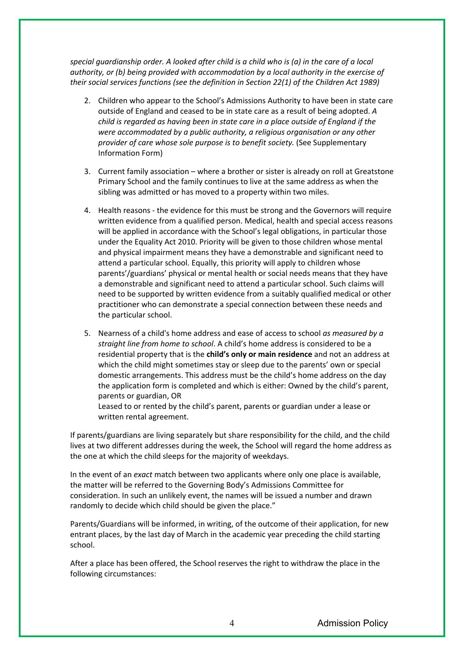*special guardianship order. A looked after child is a child who is (a) in the care of a local authority, or (b) being provided with accommodation by a local authority in the exercise of their social services functions (see the definition in Section 22(1) of the Children Act 1989)* 

- 2. Children who appear to the School's Admissions Authority to have been in state care outside of England and ceased to be in state care as a result of being adopted. *A child is regarded as having been in state care in a place outside of England if the were accommodated by a public authority, a religious organisation or any other provider of care whose sole purpose is to benefit society.* (See Supplementary Information Form)
- 3. Current family association where a brother or sister is already on roll at Greatstone Primary School and the family continues to live at the same address as when the sibling was admitted or has moved to a property within two miles.
- 4. Health reasons the evidence for this must be strong and the Governors will require written evidence from a qualified person. Medical, health and special access reasons will be applied in accordance with the School's legal obligations, in particular those under the Equality Act 2010. Priority will be given to those children whose mental and physical impairment means they have a demonstrable and significant need to attend a particular school. Equally, this priority will apply to children whose parents'/guardians' physical or mental health or social needs means that they have a demonstrable and significant need to attend a particular school. Such claims will need to be supported by written evidence from a suitably qualified medical or other practitioner who can demonstrate a special connection between these needs and the particular school.
- 5. Nearness of a child's home address and ease of access to school *as measured by a straight line from home to school*. A child's home address is considered to be a residential property that is the **child's only or main residence** and not an address at which the child might sometimes stay or sleep due to the parents' own or special domestic arrangements. This address must be the child's home address on the day the application form is completed and which is either: Owned by the child's parent, parents or guardian, OR

Leased to or rented by the child's parent, parents or guardian under a lease or written rental agreement.

If parents/guardians are living separately but share responsibility for the child, and the child lives at two different addresses during the week, the School will regard the home address as the one at which the child sleeps for the majority of weekdays.

In the event of an *exact* match between two applicants where only one place is available, the matter will be referred to the Governing Body's Admissions Committee for consideration. In such an unlikely event, the names will be issued a number and drawn randomly to decide which child should be given the place."

Parents/Guardians will be informed, in writing, of the outcome of their application, for new entrant places, by the last day of March in the academic year preceding the child starting school.

After a place has been offered, the School reserves the right to withdraw the place in the following circumstances: